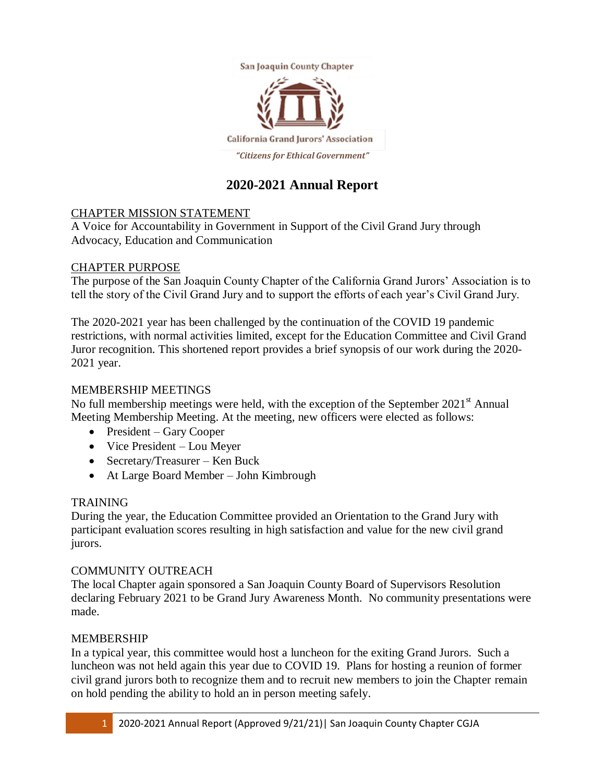

## **2020-2021 Annual Report**

### CHAPTER MISSION STATEMENT

A Voice for Accountability in Government in Support of the Civil Grand Jury through Advocacy, Education and Communication

#### CHAPTER PURPOSE

The purpose of the San Joaquin County Chapter of the California Grand Jurors' Association is to tell the story of the Civil Grand Jury and to support the efforts of each year's Civil Grand Jury.

The 2020-2021 year has been challenged by the continuation of the COVID 19 pandemic restrictions, with normal activities limited, except for the Education Committee and Civil Grand Juror recognition. This shortened report provides a brief synopsis of our work during the 2020- 2021 year.

#### MEMBERSHIP MEETINGS

No full membership meetings were held, with the exception of the September  $2021<sup>st</sup>$  Annual Meeting Membership Meeting. At the meeting, new officers were elected as follows:

- President Gary Cooper
- Vice President Lou Meyer
- Secretary/Treasurer Ken Buck
- At Large Board Member John Kimbrough

### TRAINING

During the year, the Education Committee provided an Orientation to the Grand Jury with participant evaluation scores resulting in high satisfaction and value for the new civil grand jurors.

### COMMUNITY OUTREACH

The local Chapter again sponsored a San Joaquin County Board of Supervisors Resolution declaring February 2021 to be Grand Jury Awareness Month. No community presentations were made.

#### MEMBERSHIP

In a typical year, this committee would host a luncheon for the exiting Grand Jurors. Such a luncheon was not held again this year due to COVID 19. Plans for hosting a reunion of former civil grand jurors both to recognize them and to recruit new members to join the Chapter remain on hold pending the ability to hold an in person meeting safely.